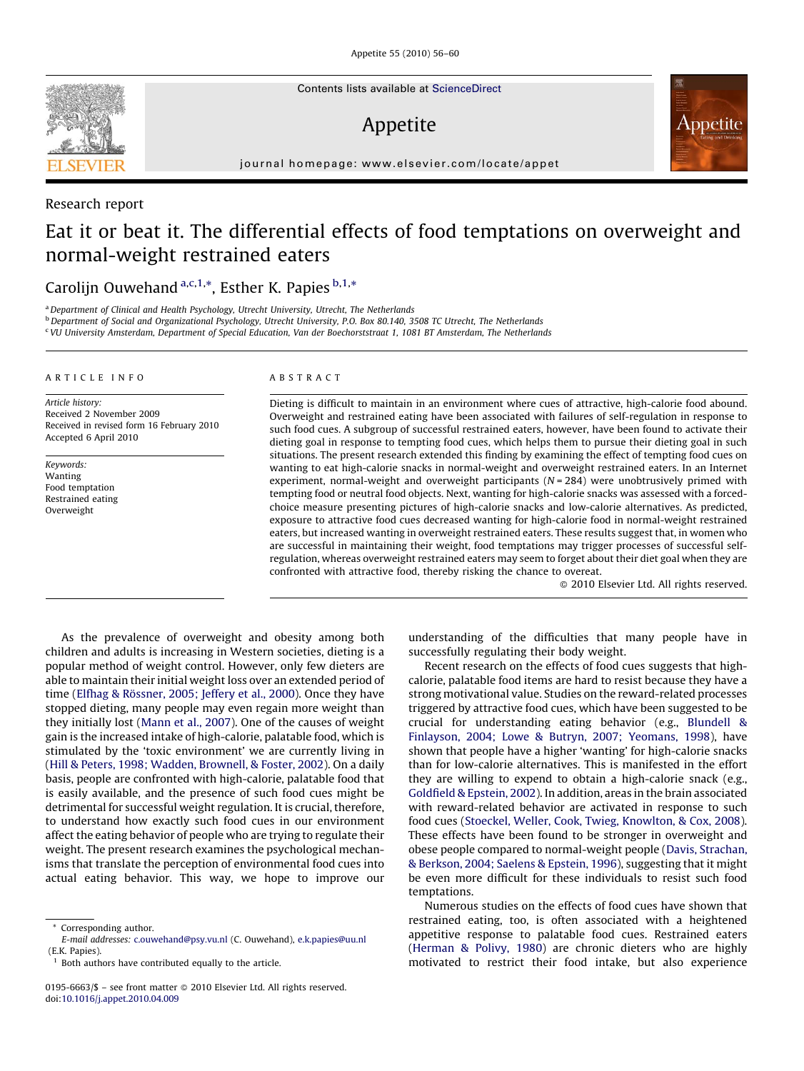Contents lists available at [ScienceDirect](http://www.sciencedirect.com/science/journal/01956663)

# Appetite



journal homepage: www.elsevier.com/locate/appet

## Research report

## Eat it or beat it. The differential effects of food temptations on overweight and normal-weight restrained eaters

## Carolijn Ouwehand <sup>a,c,1,\*</sup>, Esther K. Papies <sup>b,1,\*</sup>

<sup>a</sup> Department of Clinical and Health Psychology, Utrecht University, Utrecht, The Netherlands

 $b$  Department of Social and Organizational Psychology, Utrecht University, P.O. Box 80.140, 3508 TC Utrecht, The Netherlands

<sup>c</sup> VU University Amsterdam, Department of Special Education, Van der Boechorststraat 1, 1081 BT Amsterdam, The Netherlands

## ARTICLE INFO

Article history: Received 2 November 2009 Received in revised form 16 February 2010 Accepted 6 April 2010

Keywords: Wanting Food temptation Restrained eating Overweight

## ABSTRACT

Dieting is difficult to maintain in an environment where cues of attractive, high-calorie food abound. Overweight and restrained eating have been associated with failures of self-regulation in response to such food cues. A subgroup of successful restrained eaters, however, have been found to activate their dieting goal in response to tempting food cues, which helps them to pursue their dieting goal in such situations. The present research extended this finding by examining the effect of tempting food cues on wanting to eat high-calorie snacks in normal-weight and overweight restrained eaters. In an Internet experiment, normal-weight and overweight participants  $(N = 284)$  were unobtrusively primed with tempting food or neutral food objects. Next, wanting for high-calorie snacks was assessed with a forcedchoice measure presenting pictures of high-calorie snacks and low-calorie alternatives. As predicted, exposure to attractive food cues decreased wanting for high-calorie food in normal-weight restrained eaters, but increased wanting in overweight restrained eaters. These results suggest that, in women who are successful in maintaining their weight, food temptations may trigger processes of successful selfregulation, whereas overweight restrained eaters may seem to forget about their diet goal when they are confronted with attractive food, thereby risking the chance to overeat.

- 2010 Elsevier Ltd. All rights reserved.

As the prevalence of overweight and obesity among both children and adults is increasing in Western societies, dieting is a popular method of weight control. However, only few dieters are able to maintain their initial weight loss over an extended period of time (Elfhag & Rö[ssner, 2005; Jeffery et al., 2000](#page-4-0)). Once they have stopped dieting, many people may even regain more weight than they initially lost ([Mann et al., 2007](#page-4-0)). One of the causes of weight gain is the increased intake of high-calorie, palatable food, which is stimulated by the 'toxic environment' we are currently living in ([Hill & Peters, 1998; Wadden, Brownell, & Foster, 2002\)](#page-4-0). On a daily basis, people are confronted with high-calorie, palatable food that is easily available, and the presence of such food cues might be detrimental for successful weight regulation. It is crucial, therefore, to understand how exactly such food cues in our environment affect the eating behavior of people who are trying to regulate their weight. The present research examines the psychological mechanisms that translate the perception of environmental food cues into actual eating behavior. This way, we hope to improve our

understanding of the difficulties that many people have in successfully regulating their body weight.

Recent research on the effects of food cues suggests that highcalorie, palatable food items are hard to resist because they have a strong motivational value. Studies on the reward-related processes triggered by attractive food cues, which have been suggested to be crucial for understanding eating behavior (e.g., [Blundell &](#page-4-0) [Finlayson, 2004; Lowe & Butryn, 2007; Yeomans, 1998](#page-4-0)), have shown that people have a higher 'wanting' for high-calorie snacks than for low-calorie alternatives. This is manifested in the effort they are willing to expend to obtain a high-calorie snack (e.g., [Goldfield & Epstein, 2002](#page-4-0)). In addition, areas in the brain associated with reward-related behavior are activated in response to such food cues ([Stoeckel, Weller, Cook, Twieg, Knowlton, & Cox, 2008\)](#page-4-0). These effects have been found to be stronger in overweight and obese people compared to normal-weight people ([Davis, Strachan,](#page-4-0) [& Berkson, 2004; Saelens & Epstein, 1996](#page-4-0)), suggesting that it might be even more difficult for these individuals to resist such food temptations.

Numerous studies on the effects of food cues have shown that restrained eating, too, is often associated with a heightened appetitive response to palatable food cues. Restrained eaters ([Herman & Polivy, 1980\)](#page-4-0) are chronic dieters who are highly motivated to restrict their food intake, but also experience



<sup>\*</sup> Corresponding author.

E-mail addresses: [c.ouwehand@psy.vu.nl](mailto:c.ouwehand@psy.vu.nl) (C. Ouwehand), [e.k.papies@uu.nl](mailto:e.k.papies@uu.nl) (E.K. Papies).

Both authors have contributed equally to the article.

<sup>0195-6663/\$ –</sup> see front matter @ 2010 Elsevier Ltd. All rights reserved. doi:[10.1016/j.appet.2010.04.009](http://dx.doi.org/10.1016/j.appet.2010.04.009)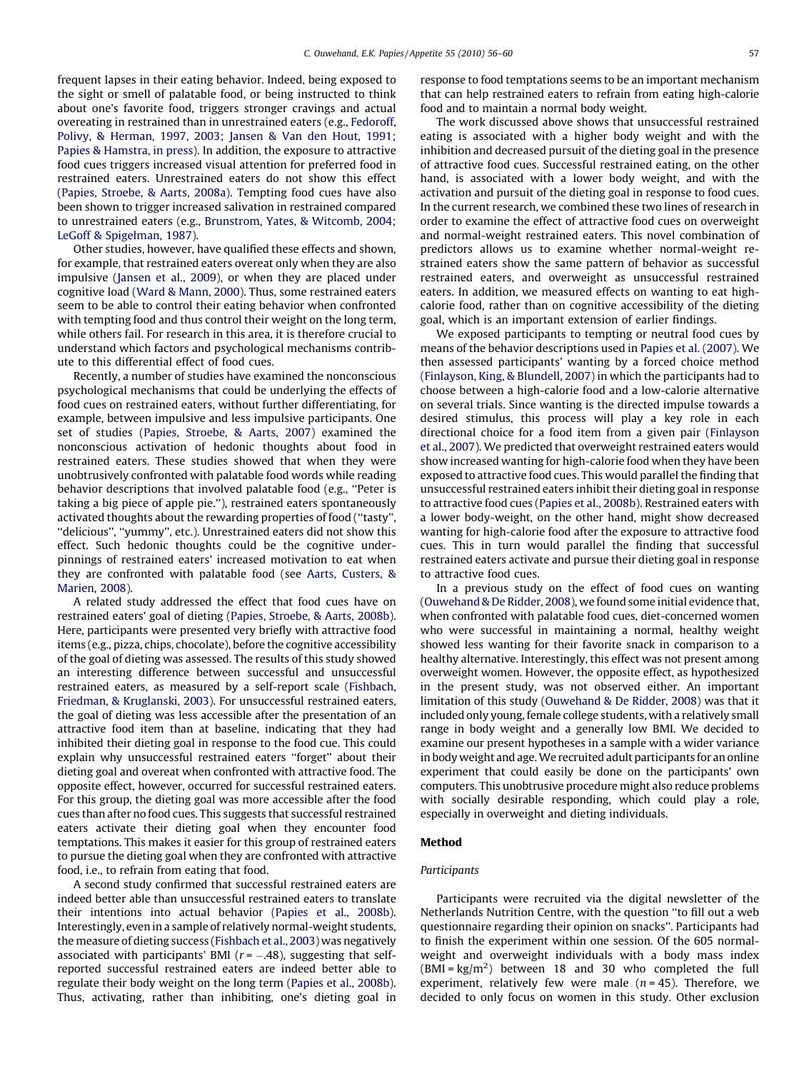frequent lapses in their eating behavior. Indeed, being exposed to the sight or smell of palatable food, or being instructed to think about one's favorite food, triggers stronger cravings and actual overeating in restrained than in unrestrained eaters (e.g., [Fedoroff,](#page-4-0) [Polivy, & Herman, 1997, 2003; Jansen & Van den Hout, 1991;](#page-4-0) [Papies & Hamstra, in press](#page-4-0)). In addition, the exposure to attractive food cues triggers increased visual attention for preferred food in restrained eaters. Unrestrained eaters do not show this effect ([Papies, Stroebe, & Aarts, 2008a](#page-4-0)). Tempting food cues have also been shown to trigger increased salivation in restrained compared to unrestrained eaters (e.g., [Brunstrom, Yates, & Witcomb, 2004;](#page-4-0) [LeGoff & Spigelman, 1987](#page-4-0)).

Other studies, however, have qualified these effects and shown, for example, that restrained eaters overeat only when they are also impulsive ([Jansen et al., 2009](#page-4-0)), or when they are placed under cognitive load [\(Ward & Mann, 2000\)](#page-4-0). Thus, some restrained eaters seem to be able to control their eating behavior when confronted with tempting food and thus control their weight on the long term, while others fail. For research in this area, it is therefore crucial to understand which factors and psychological mechanisms contribute to this differential effect of food cues.

Recently, a number of studies have examined the nonconscious psychological mechanisms that could be underlying the effects of food cues on restrained eaters, without further differentiating, for example, between impulsive and less impulsive participants. One set of studies ([Papies, Stroebe, & Aarts, 2007](#page-4-0)) examined the nonconscious activation of hedonic thoughts about food in restrained eaters. These studies showed that when they were unobtrusively confronted with palatable food words while reading behavior descriptions that involved palatable food (e.g., ''Peter is taking a big piece of apple pie.''), restrained eaters spontaneously activated thoughts about the rewarding properties of food (''tasty'', ''delicious'', ''yummy'', etc.). Unrestrained eaters did not show this effect. Such hedonic thoughts could be the cognitive underpinnings of restrained eaters' increased motivation to eat when they are confronted with palatable food (see [Aarts, Custers, &](#page-4-0) [Marien, 2008\)](#page-4-0).

A related study addressed the effect that food cues have on restrained eaters' goal of dieting [\(Papies, Stroebe, & Aarts, 2008b\)](#page-4-0). Here, participants were presented very briefly with attractive food items (e.g., pizza, chips, chocolate), before the cognitive accessibility of the goal of dieting was assessed. The results of this study showed an interesting difference between successful and unsuccessful restrained eaters, as measured by a self-report scale ([Fishbach,](#page-4-0) [Friedman, & Kruglanski, 2003\)](#page-4-0). For unsuccessful restrained eaters, the goal of dieting was less accessible after the presentation of an attractive food item than at baseline, indicating that they had inhibited their dieting goal in response to the food cue. This could explain why unsuccessful restrained eaters ''forget'' about their dieting goal and overeat when confronted with attractive food. The opposite effect, however, occurred for successful restrained eaters. For this group, the dieting goal was more accessible after the food cues than after no food cues. This suggests that successful restrained eaters activate their dieting goal when they encounter food temptations. This makes it easier for this group of restrained eaters to pursue the dieting goal when they are confronted with attractive food, i.e., to refrain from eating that food.

A second study confirmed that successful restrained eaters are indeed better able than unsuccessful restrained eaters to translate their intentions into actual behavior [\(Papies et al., 2008b\)](#page-4-0). Interestingly, even in a sample of relatively normal-weight students, the measure of dieting success [\(Fishbach et al., 2003\)](#page-4-0) was negatively associated with participants' BMI  $(r = -.48)$ , suggesting that selfreported successful restrained eaters are indeed better able to regulate their body weight on the long term ([Papies et al., 2008b\)](#page-4-0). Thus, activating, rather than inhibiting, one's dieting goal in response to food temptations seems to be an important mechanism that can help restrained eaters to refrain from eating high-calorie food and to maintain a normal body weight.

The work discussed above shows that unsuccessful restrained eating is associated with a higher body weight and with the inhibition and decreased pursuit of the dieting goal in the presence of attractive food cues. Successful restrained eating, on the other hand, is associated with a lower body weight, and with the activation and pursuit of the dieting goal in response to food cues. In the current research, we combined these two lines of research in order to examine the effect of attractive food cues on overweight and normal-weight restrained eaters. This novel combination of predictors allows us to examine whether normal-weight restrained eaters show the same pattern of behavior as successful restrained eaters, and overweight as unsuccessful restrained eaters. In addition, we measured effects on wanting to eat highcalorie food, rather than on cognitive accessibility of the dieting goal, which is an important extension of earlier findings.

We exposed participants to tempting or neutral food cues by means of the behavior descriptions used in [Papies et al. \(2007\).](#page-4-0) We then assessed participants' wanting by a forced choice method ([Finlayson, King, & Blundell, 2007\)](#page-4-0) in which the participants had to choose between a high-calorie food and a low-calorie alternative on several trials. Since wanting is the directed impulse towards a desired stimulus, this process will play a key role in each directional choice for a food item from a given pair [\(Finlayson](#page-4-0) [et al., 2007](#page-4-0)). We predicted that overweight restrained eaters would show increased wanting for high-calorie food when they have been exposed to attractive food cues. This would parallel the finding that unsuccessful restrained eaters inhibit their dieting goal in response to attractive food cues ([Papies et al., 2008b](#page-4-0)). Restrained eaters with a lower body-weight, on the other hand, might show decreased wanting for high-calorie food after the exposure to attractive food cues. This in turn would parallel the finding that successful restrained eaters activate and pursue their dieting goal in response to attractive food cues.

In a previous study on the effect of food cues on wanting ([Ouwehand & De Ridder, 2008\)](#page-4-0), we found some initial evidence that, when confronted with palatable food cues, diet-concerned women who were successful in maintaining a normal, healthy weight showed less wanting for their favorite snack in comparison to a healthy alternative. Interestingly, this effect was not present among overweight women. However, the opposite effect, as hypothesized in the present study, was not observed either. An important limitation of this study [\(Ouwehand & De Ridder, 2008](#page-4-0)) was that it included only young, female college students, with a relatively small range in body weight and a generally low BMI. We decided to examine our present hypotheses in a sample with a wider variance in body weight and age.We recruited adult participants for an online experiment that could easily be done on the participants' own computers. This unobtrusive procedure might also reduce problems with socially desirable responding, which could play a role, especially in overweight and dieting individuals.

## Method

## Participants

Participants were recruited via the digital newsletter of the Netherlands Nutrition Centre, with the question ''to fill out a web questionnaire regarding their opinion on snacks''. Participants had to finish the experiment within one session. Of the 605 normalweight and overweight individuals with a body mass index  $(BMI = kg/m<sup>2</sup>)$  between 18 and 30 who completed the full experiment, relatively few were male  $(n = 45)$ . Therefore, we decided to only focus on women in this study. Other exclusion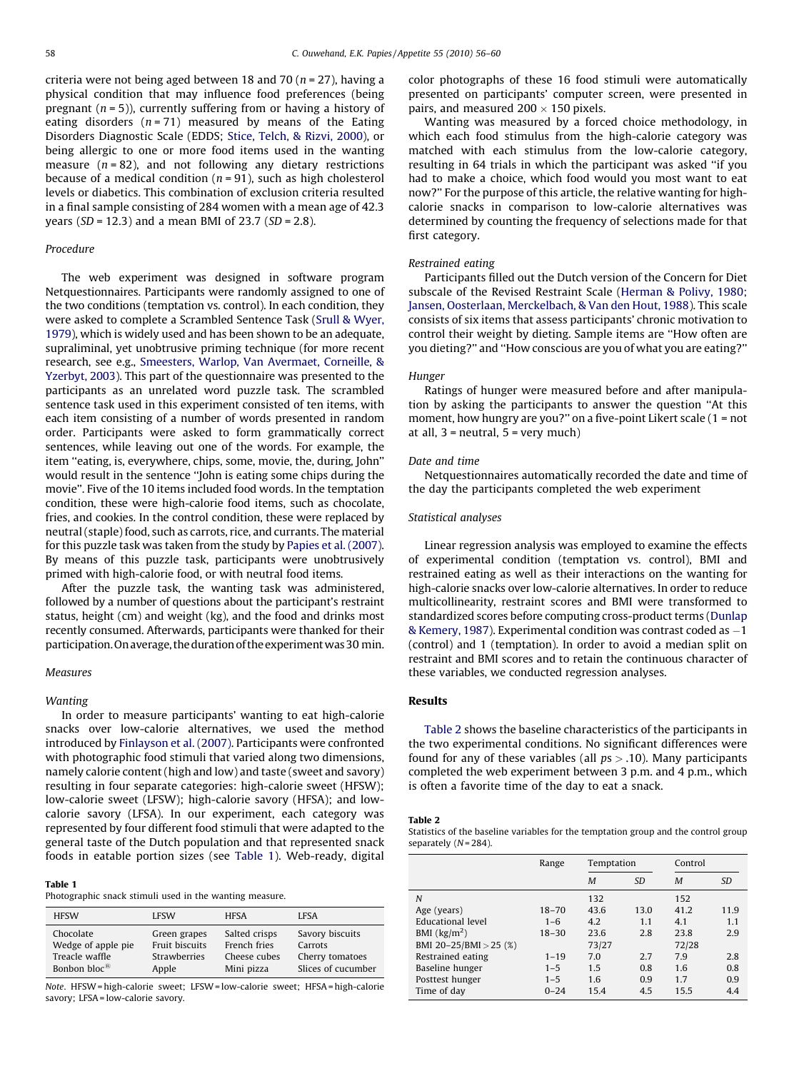criteria were not being aged between 18 and 70 ( $n = 27$ ), having a physical condition that may influence food preferences (being pregnant  $(n = 5)$ ), currently suffering from or having a history of eating disorders  $(n = 71)$  measured by means of the Eating Disorders Diagnostic Scale (EDDS; [Stice, Telch, & Rizvi, 2000\)](#page-4-0), or being allergic to one or more food items used in the wanting measure  $(n = 82)$ , and not following any dietary restrictions because of a medical condition ( $n = 91$ ), such as high cholesterol levels or diabetics. This combination of exclusion criteria resulted in a final sample consisting of 284 women with a mean age of 42.3 years (SD = 12.3) and a mean BMI of 23.7 (SD = 2.8).

### Procedure

The web experiment was designed in software program Netquestionnaires. Participants were randomly assigned to one of the two conditions (temptation vs. control). In each condition, they were asked to complete a Scrambled Sentence Task [\(Srull & Wyer,](#page-4-0) [1979\)](#page-4-0), which is widely used and has been shown to be an adequate, supraliminal, yet unobtrusive priming technique (for more recent research, see e.g., [Smeesters, Warlop, Van Avermaet, Corneille, &](#page-4-0) [Yzerbyt, 2003\)](#page-4-0). This part of the questionnaire was presented to the participants as an unrelated word puzzle task. The scrambled sentence task used in this experiment consisted of ten items, with each item consisting of a number of words presented in random order. Participants were asked to form grammatically correct sentences, while leaving out one of the words. For example, the item ''eating, is, everywhere, chips, some, movie, the, during, John'' would result in the sentence ''John is eating some chips during the movie''. Five of the 10 items included food words. In the temptation condition, these were high-calorie food items, such as chocolate, fries, and cookies. In the control condition, these were replaced by neutral (staple) food, such as carrots, rice, and currants. The material for this puzzle task was taken from the study by [Papies et al. \(2007\).](#page-4-0) By means of this puzzle task, participants were unobtrusively primed with high-calorie food, or with neutral food items.

After the puzzle task, the wanting task was administered, followed by a number of questions about the participant's restraint status, height (cm) and weight (kg), and the food and drinks most recently consumed. Afterwards, participants were thanked for their participation. On average, the duration of the experiment was 30 min.

## **Measures**

#### Wanting

In order to measure participants' wanting to eat high-calorie snacks over low-calorie alternatives, we used the method introduced by [Finlayson et al. \(2007\)](#page-4-0). Participants were confronted with photographic food stimuli that varied along two dimensions, namely calorie content (high and low) and taste (sweet and savory) resulting in four separate categories: high-calorie sweet (HFSW); low-calorie sweet (LFSW); high-calorie savory (HFSA); and lowcalorie savory (LFSA). In our experiment, each category was represented by four different food stimuli that were adapted to the general taste of the Dutch population and that represented snack foods in eatable portion sizes (see Table 1). Web-ready, digital

#### Table 1

Photographic snack stimuli used in the wanting measure.

| <b>HFSW</b>              | <b>LFSW</b>    | <b>HFSA</b>   | <b>LESA</b>        |
|--------------------------|----------------|---------------|--------------------|
| Chocolate                | Green grapes   | Salted crisps | Savory biscuits    |
| Wedge of apple pie       | Fruit biscuits | French fries  | Carrots            |
| Treacle waffle           | Strawberries   | Cheese cubes  | Cherry tomatoes    |
| Bonbon bloc $\mathbb{E}$ | Apple          | Mini pizza    | Slices of cucumber |

Note. HFSW = high-calorie sweet; LFSW = low-calorie sweet; HFSA = high-calorie savory; LFSA = low-calorie savory.

color photographs of these 16 food stimuli were automatically presented on participants' computer screen, were presented in pairs, and measured  $200 \times 150$  pixels.

Wanting was measured by a forced choice methodology, in which each food stimulus from the high-calorie category was matched with each stimulus from the low-calorie category, resulting in 64 trials in which the participant was asked ''if you had to make a choice, which food would you most want to eat now?'' For the purpose of this article, the relative wanting for highcalorie snacks in comparison to low-calorie alternatives was determined by counting the frequency of selections made for that first category.

### Restrained eating

Participants filled out the Dutch version of the Concern for Diet subscale of the Revised Restraint Scale [\(Herman & Polivy, 1980;](#page-4-0) [Jansen, Oosterlaan, Merckelbach, & Van den Hout, 1988\)](#page-4-0). This scale consists of six items that assess participants' chronic motivation to control their weight by dieting. Sample items are ''How often are you dieting?'' and ''How conscious are you of what you are eating?''

#### Hunger

Ratings of hunger were measured before and after manipulation by asking the participants to answer the question ''At this moment, how hungry are you?" on a five-point Likert scale (1 = not at all,  $3$  = neutral,  $5$  = very much)

#### Date and time

Netquestionnaires automatically recorded the date and time of the day the participants completed the web experiment

## Statistical analyses

Linear regression analysis was employed to examine the effects of experimental condition (temptation vs. control), BMI and restrained eating as well as their interactions on the wanting for high-calorie snacks over low-calorie alternatives. In order to reduce multicollinearity, restraint scores and BMI were transformed to standardized scores before computing cross-product terms [\(Dunlap](#page-4-0) [& Kemery, 1987](#page-4-0)). Experimental condition was contrast coded as -1 (control) and 1 (temptation). In order to avoid a median split on restraint and BMI scores and to retain the continuous character of these variables, we conducted regression analyses.

#### Results

Table 2 shows the baseline characteristics of the participants in the two experimental conditions. No significant differences were found for any of these variables (all  $ps > .10$ ). Many participants completed the web experiment between 3 p.m. and 4 p.m., which is often a favorite time of the day to eat a snack.

#### Table 2

Statistics of the baseline variables for the temptation group and the control group separately (N= 284).

|                                   | Range     | Temptation |           | Control |      |
|-----------------------------------|-----------|------------|-----------|---------|------|
|                                   |           | M          | <b>SD</b> | M       | SD   |
| N                                 |           | 132        |           | 152     |      |
| Age (years)                       | $18 - 70$ | 43.6       | 13.0      | 41.2    | 11.9 |
| Educational level                 | $1 - 6$   | 4.2        | 1.1       | 4.1     | 1.1  |
| BMI $\left(\frac{kg}{m^2}\right)$ | $18 - 30$ | 23.6       | 2.8       | 23.8    | 2.9  |
| BMI 20-25/BMI > 25 (%)            |           | 73/27      |           | 72/28   |      |
| Restrained eating                 | $1 - 19$  | 7.0        | 2.7       | 7.9     | 2.8  |
| Baseline hunger                   | $1 - 5$   | 1.5        | 0.8       | 1.6     | 0.8  |
| Posttest hunger                   | $1 - 5$   | 1.6        | 0.9       | 1.7     | 0.9  |
| Time of day                       | $0 - 24$  | 15.4       | 4.5       | 15.5    | 4.4  |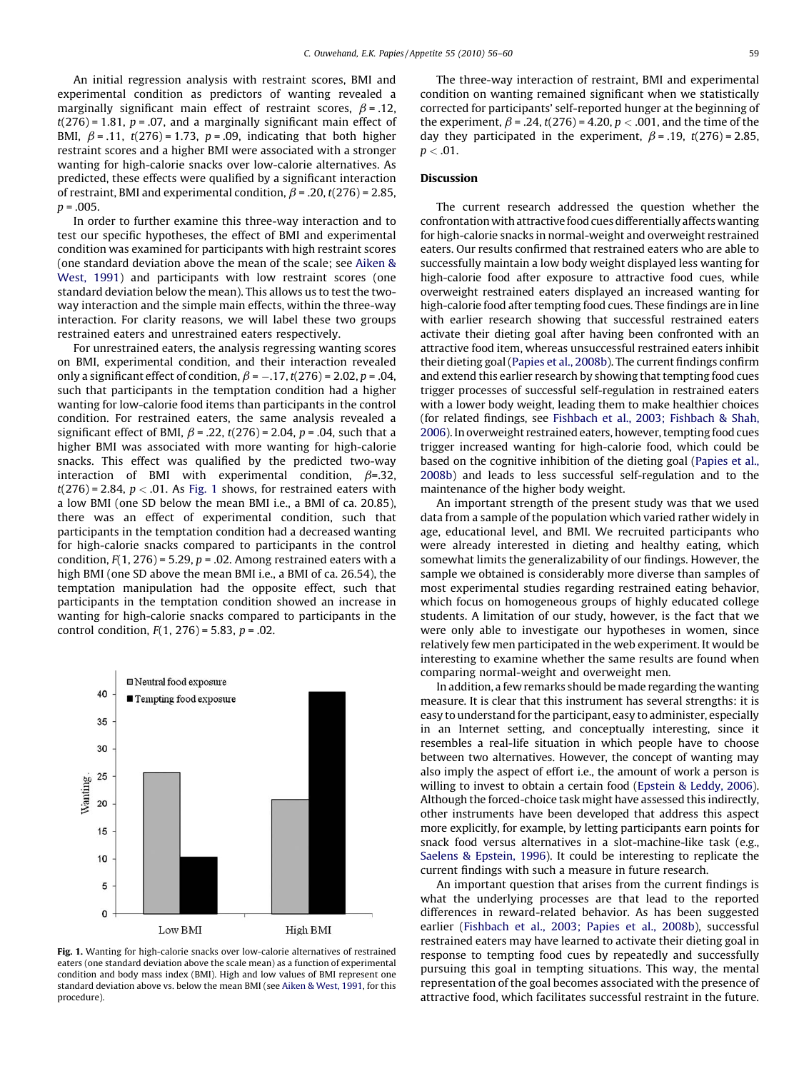An initial regression analysis with restraint scores, BMI and experimental condition as predictors of wanting revealed a marginally significant main effect of restraint scores,  $\beta$  = .12,  $t(276) = 1.81$ ,  $p = .07$ , and a marginally significant main effect of BMI,  $\beta$  = .11,  $t(276)$  = 1.73,  $p$  = .09, indicating that both higher restraint scores and a higher BMI were associated with a stronger wanting for high-calorie snacks over low-calorie alternatives. As predicted, these effects were qualified by a significant interaction of restraint, BMI and experimental condition,  $\beta$  = .20, t(276) = 2.85,  $p = .005$ .

In order to further examine this three-way interaction and to test our specific hypotheses, the effect of BMI and experimental condition was examined for participants with high restraint scores (one standard deviation above the mean of the scale; see [Aiken &](#page-4-0) [West, 1991\)](#page-4-0) and participants with low restraint scores (one standard deviation below the mean). This allows us to test the twoway interaction and the simple main effects, within the three-way interaction. For clarity reasons, we will label these two groups restrained eaters and unrestrained eaters respectively.

For unrestrained eaters, the analysis regressing wanting scores on BMI, experimental condition, and their interaction revealed only a significant effect of condition,  $\beta$  =  $-$ .17, t(276) = 2.02, p = .04, such that participants in the temptation condition had a higher wanting for low-calorie food items than participants in the control condition. For restrained eaters, the same analysis revealed a significant effect of BMI,  $\beta$  = .22, t(276) = 2.04, p = .04, such that a higher BMI was associated with more wanting for high-calorie snacks. This effect was qualified by the predicted two-way interaction of BMI with experimental condition,  $\beta$ =.32,  $t(276)$  = 2.84,  $p < .01$ . As Fig. 1 shows, for restrained eaters with a low BMI (one SD below the mean BMI i.e., a BMI of ca. 20.85), there was an effect of experimental condition, such that participants in the temptation condition had a decreased wanting for high-calorie snacks compared to participants in the control condition,  $F(1, 276) = 5.29$ ,  $p = .02$ . Among restrained eaters with a high BMI (one SD above the mean BMI i.e., a BMI of ca. 26.54), the temptation manipulation had the opposite effect, such that participants in the temptation condition showed an increase in wanting for high-calorie snacks compared to participants in the control condition,  $F(1, 276) = 5.83$ ,  $p = .02$ .



Fig. 1. Wanting for high-calorie snacks over low-calorie alternatives of restrained eaters (one standard deviation above the scale mean) as a function of experimental condition and body mass index (BMI). High and low values of BMI represent one standard deviation above vs. below the mean BMI (see [Aiken & West, 1991,](#page-4-0) for this procedure).

The three-way interaction of restraint, BMI and experimental condition on wanting remained significant when we statistically corrected for participants' self-reported hunger at the beginning of the experiment,  $\beta$  = .24,  $t(276)$  = 4.20,  $p < .001$ , and the time of the day they participated in the experiment,  $\beta$  = .19, t(276) = 2.85,  $p < .01$ .

## Discussion

The current research addressed the question whether the confrontation with attractive food cues differentially affectswanting for high-calorie snacks in normal-weight and overweight restrained eaters. Our results confirmed that restrained eaters who are able to successfully maintain a low body weight displayed less wanting for high-calorie food after exposure to attractive food cues, while overweight restrained eaters displayed an increased wanting for high-calorie food after tempting food cues. These findings are in line with earlier research showing that successful restrained eaters activate their dieting goal after having been confronted with an attractive food item, whereas unsuccessful restrained eaters inhibit their dieting goal ([Papies et al., 2008b\)](#page-4-0). The current findings confirm and extend this earlier research by showing that tempting food cues trigger processes of successful self-regulation in restrained eaters with a lower body weight, leading them to make healthier choices (for related findings, see [Fishbach et al., 2003; Fishbach & Shah,](#page-4-0) [2006](#page-4-0)). In overweight restrained eaters, however, tempting food cues trigger increased wanting for high-calorie food, which could be based on the cognitive inhibition of the dieting goal [\(Papies et al.,](#page-4-0) [2008b](#page-4-0)) and leads to less successful self-regulation and to the maintenance of the higher body weight.

An important strength of the present study was that we used data from a sample of the population which varied rather widely in age, educational level, and BMI. We recruited participants who were already interested in dieting and healthy eating, which somewhat limits the generalizability of our findings. However, the sample we obtained is considerably more diverse than samples of most experimental studies regarding restrained eating behavior, which focus on homogeneous groups of highly educated college students. A limitation of our study, however, is the fact that we were only able to investigate our hypotheses in women, since relatively few men participated in the web experiment. It would be interesting to examine whether the same results are found when comparing normal-weight and overweight men.

In addition, a few remarks should be made regarding the wanting measure. It is clear that this instrument has several strengths: it is easy to understand for the participant, easy to administer, especially in an Internet setting, and conceptually interesting, since it resembles a real-life situation in which people have to choose between two alternatives. However, the concept of wanting may also imply the aspect of effort i.e., the amount of work a person is willing to invest to obtain a certain food [\(Epstein & Leddy, 2006\)](#page-4-0). Although the forced-choice task might have assessed this indirectly, other instruments have been developed that address this aspect more explicitly, for example, by letting participants earn points for snack food versus alternatives in a slot-machine-like task (e.g., [Saelens & Epstein, 1996](#page-4-0)). It could be interesting to replicate the current findings with such a measure in future research.

An important question that arises from the current findings is what the underlying processes are that lead to the reported differences in reward-related behavior. As has been suggested earlier ([Fishbach et al., 2003; Papies et al., 2008b\)](#page-4-0), successful restrained eaters may have learned to activate their dieting goal in response to tempting food cues by repeatedly and successfully pursuing this goal in tempting situations. This way, the mental representation of the goal becomes associated with the presence of attractive food, which facilitates successful restraint in the future.